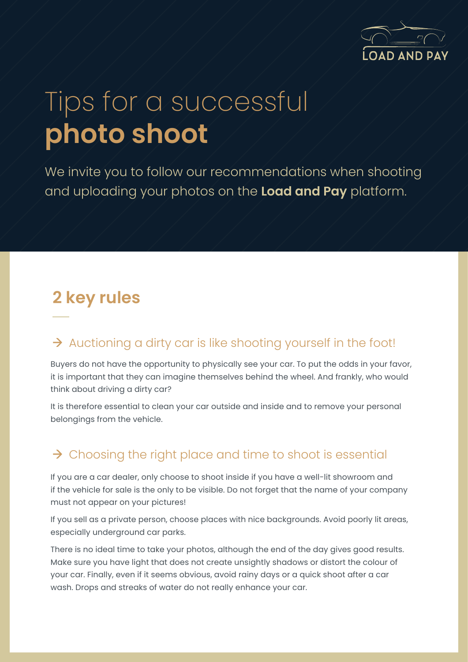

# Tips for a successful **photo shoot**

We invite you to follow our recommendations when shooting and uploading your photos on the **Load and Pay** platform.

# **2 key rules**

#### $\rightarrow$  Auctioning a dirty car is like shooting yourself in the foot!

Buyers do not have the opportunity to physically see your car. To put the odds in your favor, it is important that they can imagine themselves behind the wheel. And frankly, who would think about driving a dirty car?

It is therefore essential to clean your car outside and inside and to remove your personal belongings from the vehicle.

## $\rightarrow$  Choosing the right place and time to shoot is essential

If you are a car dealer, only choose to shoot inside if you have a well-lit showroom and if the vehicle for sale is the only to be visible. Do not forget that the name of your company must not appear on your pictures!

If you sell as a private person, choose places with nice backgrounds. Avoid poorly lit areas, especially underground car parks.

There is no ideal time to take your photos, although the end of the day gives good results. Make sure you have light that does not create unsightly shadows or distort the colour of your car. Finally, even if it seems obvious, avoid rainy days or a quick shoot after a car wash. Drops and streaks of water do not really enhance your car.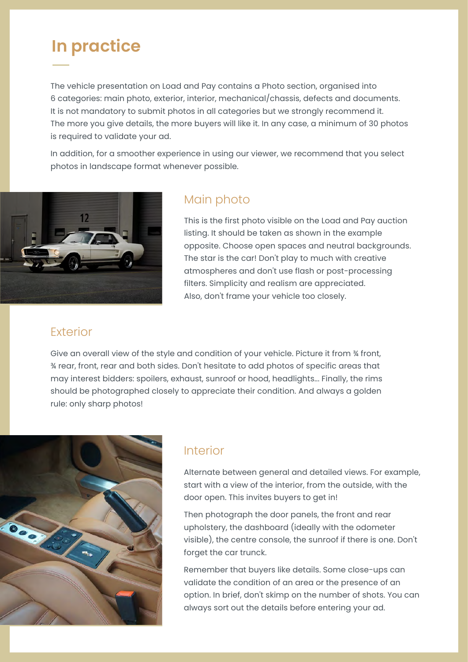# **In practice**

The vehicle presentation on Load and Pay contains a Photo section, organised into 6 categories: main photo, exterior, interior, mechanical/chassis, defects and documents. It is not mandatory to submit photos in all categories but we strongly recommend it. The more you give details, the more buyers will like it. In any case, a minimum of 30 photos is required to validate your ad.

In addition, for a smoother experience in using our viewer, we recommend that you select photos in landscape format whenever possible.



#### Main photo

This is the first photo visible on the Load and Pay auction listing. It should be taken as shown in the example opposite. Choose open spaces and neutral backgrounds. The star is the car! Don't play to much with creative atmospheres and don't use flash or post-processing filters. Simplicity and realism are appreciated. Also, don't frame your vehicle too closely.

#### Exterior

Give an overall view of the style and condition of your vehicle. Picture it from ¾ front, ¾ rear, front, rear and both sides. Don't hesitate to add photos of specific areas that may interest bidders: spoilers, exhaust, sunroof or hood, headlights... Finally, the rims should be photographed closely to appreciate their condition. And always a golden rule: only sharp photos!



#### Interior

Alternate between general and detailed views. For example, start with a view of the interior, from the outside, with the door open. This invites buyers to get in!

Then photograph the door panels, the front and rear upholstery, the dashboard (ideally with the odometer visible), the centre console, the sunroof if there is one. Don't forget the car trunck.

Remember that buyers like details. Some close-ups can validate the condition of an area or the presence of an option. In brief, don't skimp on the number of shots. You can always sort out the details before entering your ad.